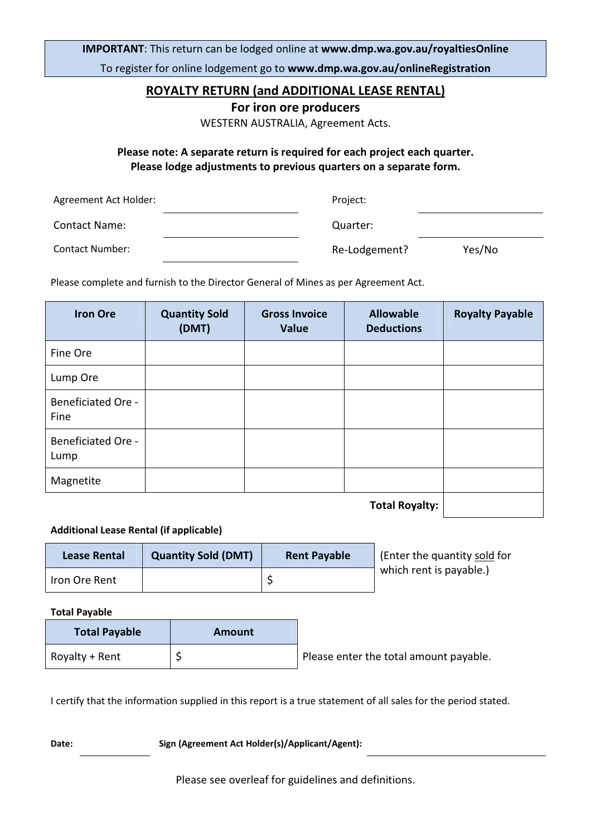IMPORTANT: This return can be lodged online at www.dmp.wa.gov.au/royaltiesOnline

To register for online lodgement go to www.dmp.wa.gov.au/onlineRegistration

### ROYALTY RETURN (and ADDITIONAL LEASE RENTAL)

For iron ore producers

WESTERN AUSTRALIA, Agreement Acts.

Please note: A separate return is required for each project each quarter. Please lodge adjustments to previous quarters on a separate form.

| Agreement Act Holder: | Project:      |        |
|-----------------------|---------------|--------|
| <b>Contact Name:</b>  | Quarter:      |        |
| Contact Number:       | Re-Lodgement? | Yes/No |

Please complete and furnish to the Director General of Mines as per Agreement Act.

| <b>Iron Ore</b>                   | <b>Quantity Sold</b><br>(DMT) | <b>Gross Invoice</b><br><b>Value</b> | <b>Allowable</b><br><b>Deductions</b> | <b>Royalty Payable</b> |
|-----------------------------------|-------------------------------|--------------------------------------|---------------------------------------|------------------------|
| Fine Ore                          |                               |                                      |                                       |                        |
| Lump Ore                          |                               |                                      |                                       |                        |
| <b>Beneficiated Ore -</b><br>Fine |                               |                                      |                                       |                        |
| <b>Beneficiated Ore -</b><br>Lump |                               |                                      |                                       |                        |
| Magnetite                         |                               |                                      |                                       |                        |
|                                   |                               |                                      | <b>Total Royalty:</b>                 |                        |

#### Additional Lease Rental (if applicable)

| <b>Lease Rental</b> | <b>Quantity Sold (DMT)</b> | <b>Rent Payable</b> | (Enter the quantity sold for |
|---------------------|----------------------------|---------------------|------------------------------|
| Iron Ore Rent       |                            |                     | which rent is payable.)      |

Total Payable

| <b>Total Payable</b> | Amount |                                        |
|----------------------|--------|----------------------------------------|
| Royalty + Rent       |        | Please enter the total amount payable. |

I certify that the information supplied in this report is a true statement of all sales for the period stated.

Date: Sign (Agreement Act Holder(s)/Applicant/Agent):

Please see overleaf for guidelines and definitions.